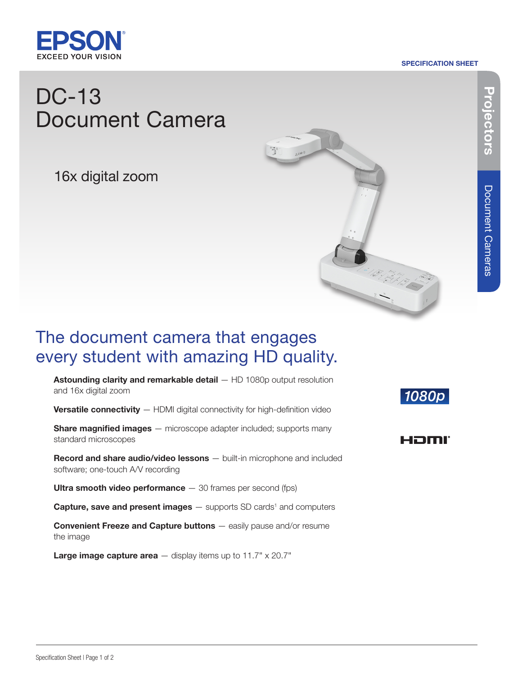

#### SPECIFICATION SHEET

# DC-13 Document Camera

16x digital zoom



## The document camera that engages every student with amazing HD quality.

Astounding clarity and remarkable detail - HD 1080p output resolution and 16x digital zoom

Versatile connectivity - HDMI digital connectivity for high-definition video

**Share magnified images** — microscope adapter included; supports many standard microscopes

Record and share audio/video lessons - built-in microphone and included software; one-touch A/V recording

Ultra smooth video performance  $-30$  frames per second (fps)

**Capture, save and present images**  $-$  supports SD cards<sup>1</sup> and computers

Convenient Freeze and Capture buttons — easily pause and/or resume the image

**Large image capture area**  $-$  display items up to 11.7"  $\times$  20.7"

### 1080p